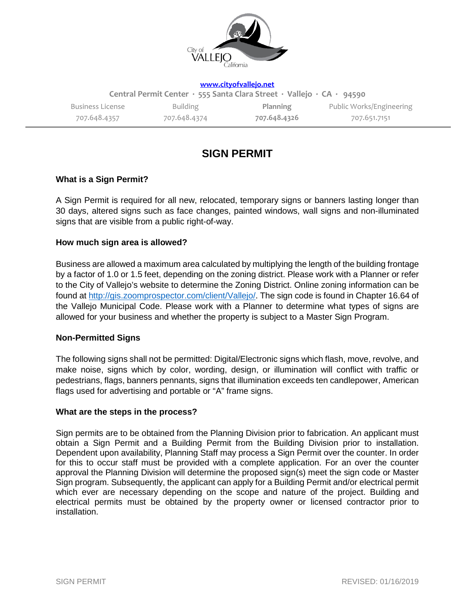

**[www.cityofvallejo.net](http://www.cityofvallejo.net/)**

| Central Permit Center · 555 Santa Clara Street · Vallejo · CA · 94590 |              |              |                          |
|-----------------------------------------------------------------------|--------------|--------------|--------------------------|
| Business License                                                      | Building     | Planning     | Public Works/Engineering |
| 707.648.4357                                                          | 707.648.4374 | 707.648.4326 | 707.651.7151             |

# **SIGN PERMIT**

# **What is a Sign Permit?**

A Sign Permit is required for all new, relocated, temporary signs or banners lasting longer than 30 days, altered signs such as face changes, painted windows, wall signs and non-illuminated signs that are visible from a public right-of-way.

# **How much sign area is allowed?**

Business are allowed a maximum area calculated by multiplying the length of the building frontage by a factor of 1.0 or 1.5 feet, depending on the zoning district. Please work with a Planner or refer to the City of Vallejo's website to determine the Zoning District. Online zoning information can be found at [http://gis.zoomprospector.com/client/Vallejo/.](http://gis.zoomprospector.com/client/Vallejo/) The sign code is found in Chapter 16.64 of the Vallejo Municipal Code. Please work with a Planner to determine what types of signs are allowed for your business and whether the property is subject to a Master Sign Program.

# **Non-Permitted Signs**

The following signs shall not be permitted: Digital/Electronic signs which flash, move, revolve, and make noise, signs which by color, wording, design, or illumination will conflict with traffic or pedestrians, flags, banners pennants, signs that illumination exceeds ten candlepower, American flags used for advertising and portable or "A" frame signs.

## **What are the steps in the process?**

Sign permits are to be obtained from the Planning Division prior to fabrication. An applicant must obtain a Sign Permit and a Building Permit from the Building Division prior to installation. Dependent upon availability, Planning Staff may process a Sign Permit over the counter. In order for this to occur staff must be provided with a complete application. For an over the counter approval the Planning Division will determine the proposed sign(s) meet the sign code or Master Sign program. Subsequently, the applicant can apply for a Building Permit and/or electrical permit which ever are necessary depending on the scope and nature of the project. Building and electrical permits must be obtained by the property owner or licensed contractor prior to installation.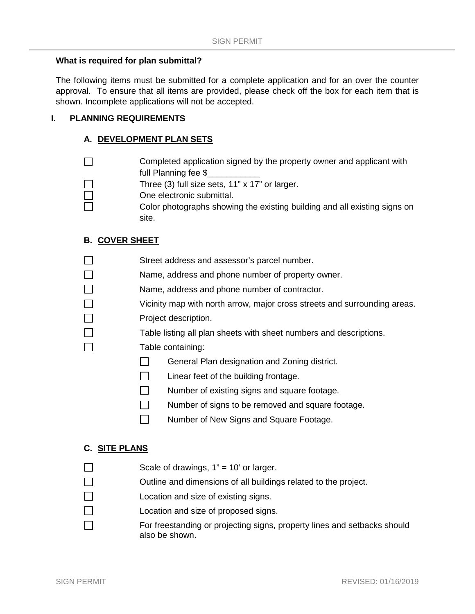## **What is required for plan submittal?**

The following items must be submitted for a complete application and for an over the counter approval. To ensure that all items are provided, please check off the box for each item that is shown. Incomplete applications will not be accepted.

## **I. PLANNING REQUIREMENTS**

#### **A. DEVELOPMENT PLAN SETS**

Completed application signed by the property owner and applicant with П full Planning fee \$

Three (3) full size sets, 11" x 17" or larger.

- $\Box$ One electronic submittal.
	- Color photographs showing the existing building and all existing signs on site.

## **B. COVER SHEET**

- $\Box$ Street address and assessor's parcel number.
- $\Box$ Name, address and phone number of property owner.
- $\Box$ Name, address and phone number of contractor.
- $\Box$ Vicinity map with north arrow, major cross streets and surrounding areas.
- $\Box$ Project description.
	- Table listing all plan sheets with sheet numbers and descriptions.
	- Table containing:
		- $\Box$ General Plan designation and Zoning district.
		- $\Box$ Linear feet of the building frontage.
		- $\Box$ Number of existing signs and square footage.
		- $\Box$ Number of signs to be removed and square footage.
		- П. Number of New Signs and Square Footage.

#### **C. SITE PLANS**

П  $\Box$ 

 $\Box$ 

П

- Scale of drawings,  $1" = 10'$  or larger.
- $\Box$ Outline and dimensions of all buildings related to the project.
- $\Box$ Location and size of existing signs.
- П Location and size of proposed signs.
	- For freestanding or projecting signs, property lines and setbacks should also be shown.